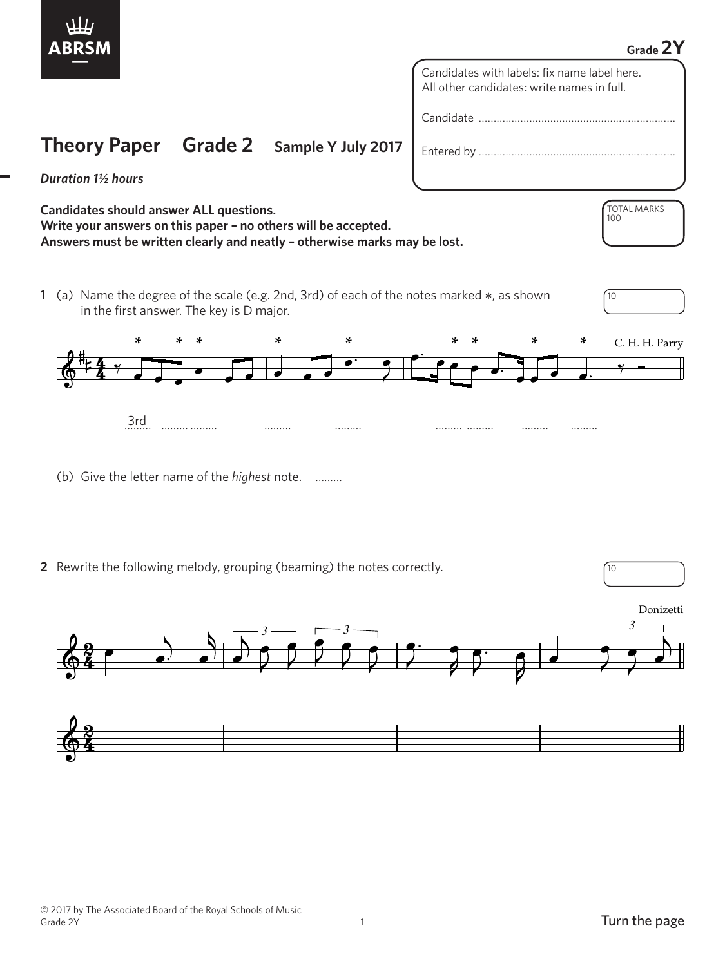

**2** Rewrite the following melody, grouping (beaming) the notes correctly.

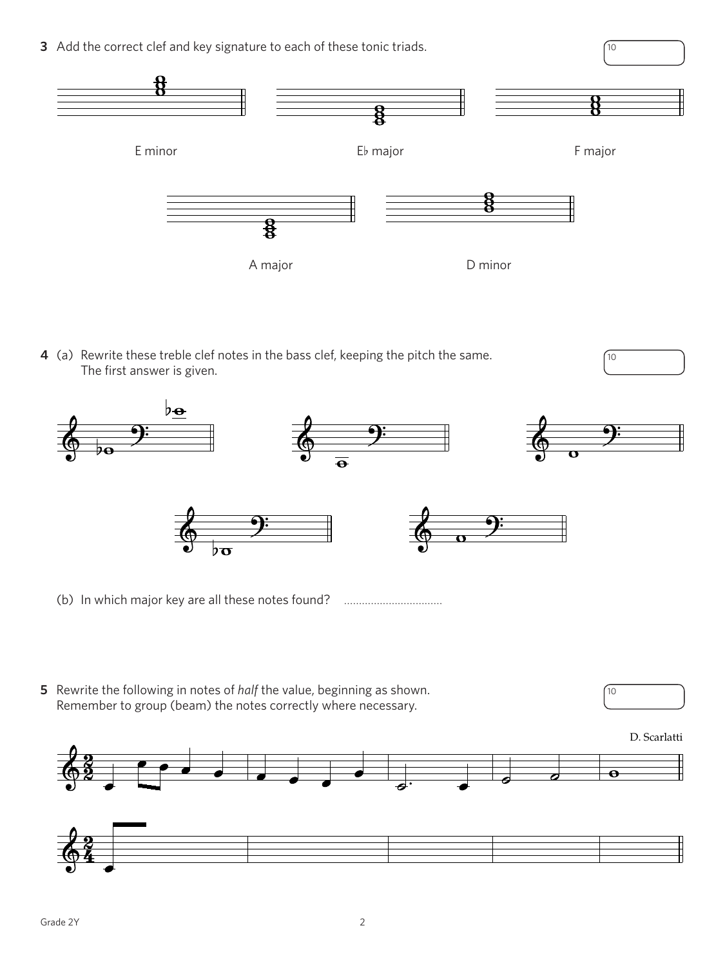**3** Add the correct clef and key signature to each of these tonic triads.



**4** (a) Rewrite these treble clef notes in the bass clef, keeping the pitch the same.  $\sqrt{10}$ The first answer is given.

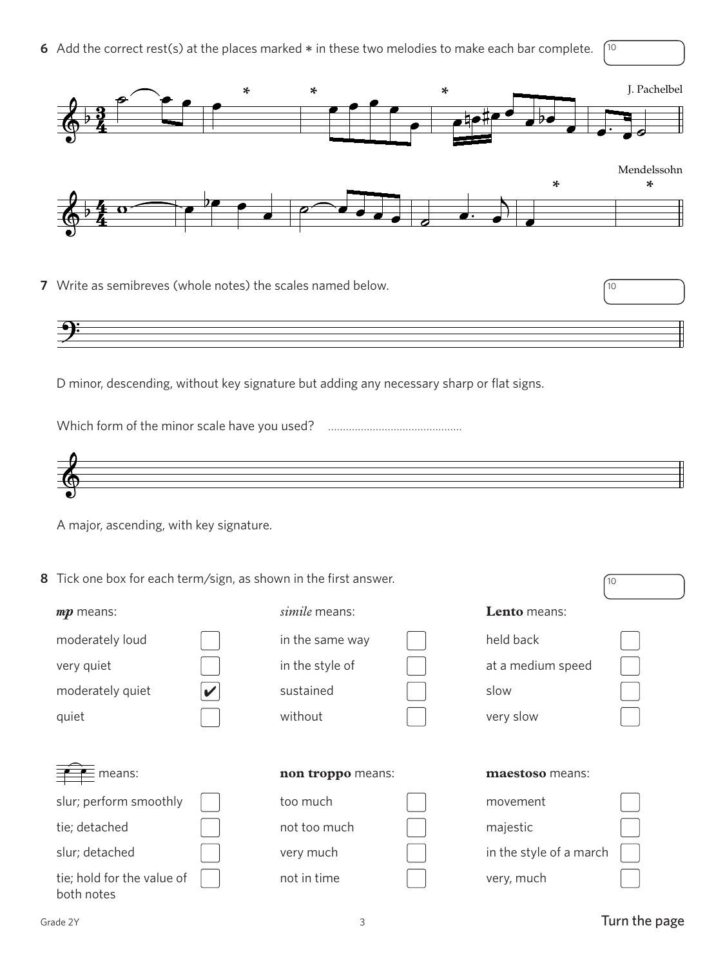**6** Add the correct rest(s) at the places marked  $*$  in these two melodies to make each bar complete.  $\int$ <sup>10</sup>